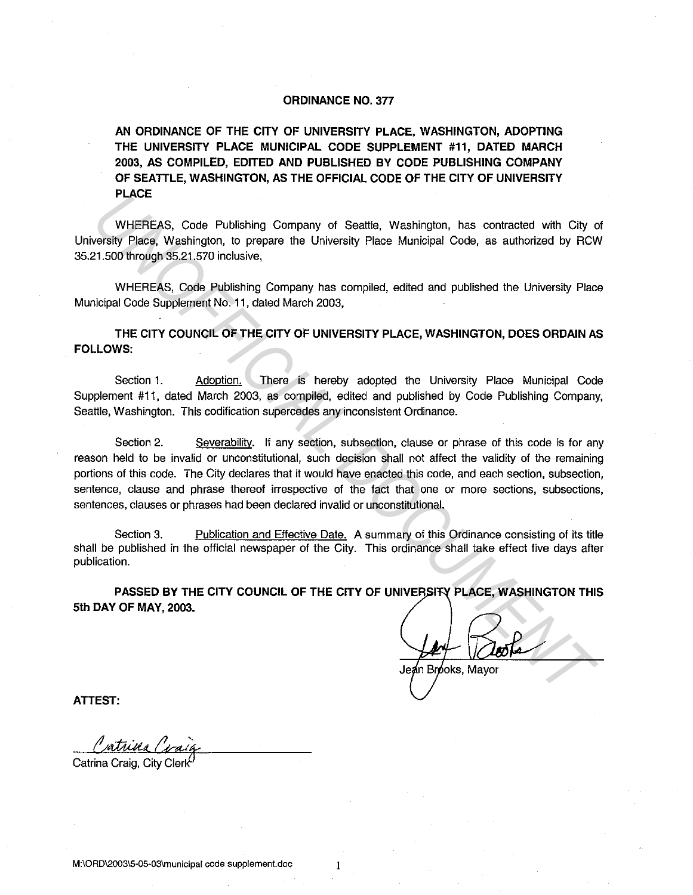## **ORDINANCE NO. 377**

**AN ORDINANCE OF THE CITY OF UNIVERSITY PLACE, WASHINGTON, ADOPTING THE UNIVERSITY PLACE MUNICIPAL CODE SUPPLEMENT #11, DATED MARCH 2003, AS COMPILED, EDITED AND PUBLISHED BY CODE PUBLISHING COMPANY OF SEATILE, WASHINGTON, AS THE OFFICIAL CODE OF THE CITY OF UNIVERSITY PLACE** 

WHEREAS, Code Publishing Company of Seattle, Washington, has contracted with City of University Place, Washington, to prepare the University Place Municipal Code, as authorized by RCW 35.21.500 through 35.21.570 inclusive,

WHEREAS, Code Publishing Company has compiled, edited and published the University Place Municipal Code Supplement No. 11, dated March 2003,

**THE CITY COUNCIL OF THE CITY OF UNIVERSITY PLACE, WASHINGTON, DOES ORDAIN AS FOLLOWS:** 

Section 1. Adoption. There is hereby adopted the University Place Municipal Code Supplement #11, dated March 2003, as compiled, edited and published by Code Publishing Company, Seattle, Washington. This codification supercedes any inconsistent Ordinance.

Section 2. Severability. If any section, subsection, clause or phrase of this code is for any reason held to be invalid or unconstitutional, such decision shall not affect the validity of the remaining portions of this code. The City declares that it would have enacted this code, and each section, subsection, sentence, clause and phrase thereof irrespective of the fact that one or more sections, subsections, sentences, clauses or phrases had been declared invalid or unconstitutional. **PLACE**<br>
WHEREAS, Code Publishing Company of Seattle, Washington, has contracted with City<br>
UNEFICIAL SCONS VERICAL DEVELONS (Processors and Division Later St. 21,500 through 35.21.570 inclusive,<br>
WHEREAS, Code Publishing

Section 3. Publication and Effective Date. A summary of this Ordinance consisting of its title shall be published in the official newspaper of the City. This ordinance shall take effect five days after publication.

**PASSED BY THE CITY COUNCIL OF THE CITY OF UNIVERSITY PLACE, WASHINGTON THIS 5th DAY OF MAY, 2003.** 

**ATTEST:** 

Catrina Craig, City Clerk